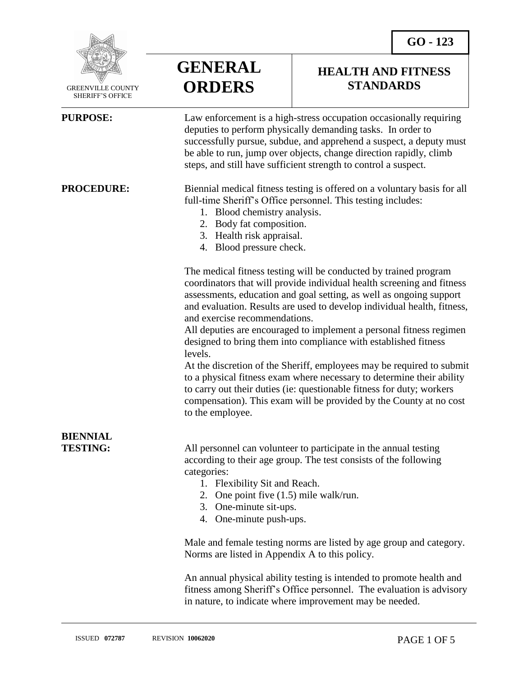

 GREENVILLE COUNTY SHERIFF'S OFFICE

**GENERAL ORDERS**

## **HEALTH AND FITNESS STANDARDS**

| <b>PURPOSE:</b>                    | Law enforcement is a high-stress occupation occasionally requiring<br>deputies to perform physically demanding tasks. In order to<br>successfully pursue, subdue, and apprehend a suspect, a deputy must<br>be able to run, jump over objects, change direction rapidly, climb<br>steps, and still have sufficient strength to control a suspect.                                                                                                                                                                                                                                                                                                                                                                                                                                                       |
|------------------------------------|---------------------------------------------------------------------------------------------------------------------------------------------------------------------------------------------------------------------------------------------------------------------------------------------------------------------------------------------------------------------------------------------------------------------------------------------------------------------------------------------------------------------------------------------------------------------------------------------------------------------------------------------------------------------------------------------------------------------------------------------------------------------------------------------------------|
| <b>PROCEDURE:</b>                  | Biennial medical fitness testing is offered on a voluntary basis for all<br>full-time Sheriff's Office personnel. This testing includes:<br>1. Blood chemistry analysis.<br>2. Body fat composition.<br>3. Health risk appraisal.<br>4. Blood pressure check.                                                                                                                                                                                                                                                                                                                                                                                                                                                                                                                                           |
|                                    | The medical fitness testing will be conducted by trained program<br>coordinators that will provide individual health screening and fitness<br>assessments, education and goal setting, as well as ongoing support<br>and evaluation. Results are used to develop individual health, fitness,<br>and exercise recommendations.<br>All deputies are encouraged to implement a personal fitness regimen<br>designed to bring them into compliance with established fitness<br>levels.<br>At the discretion of the Sheriff, employees may be required to submit<br>to a physical fitness exam where necessary to determine their ability<br>to carry out their duties (ie: questionable fitness for duty; workers<br>compensation). This exam will be provided by the County at no cost<br>to the employee. |
| <b>BIENNIAL</b><br><b>TESTING:</b> | All personnel can volunteer to participate in the annual testing<br>according to their age group. The test consists of the following<br>categories:<br>1. Flexibility Sit and Reach.<br>2. One point five $(1.5)$ mile walk/run.<br>3.<br>One-minute sit-ups.<br>One-minute push-ups.<br>4.<br>Male and female testing norms are listed by age group and category.<br>Norms are listed in Appendix A to this policy.<br>An annual physical ability testing is intended to promote health and<br>fitness among Sheriff's Office personnel. The evaluation is advisory                                                                                                                                                                                                                                    |

in nature, to indicate where improvement may be needed.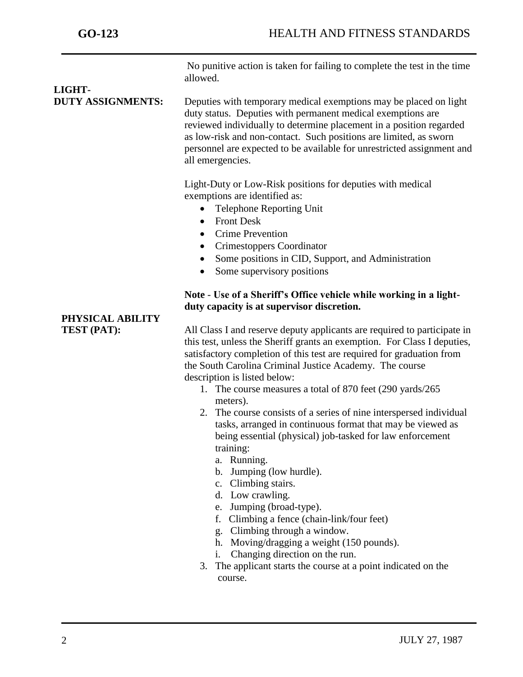No punitive action is taken for failing to complete the test in the time allowed.

# **LIGHT-**

**DUTY ASSIGNMENTS:** Deputies with temporary medical exemptions may be placed on light duty status. Deputies with permanent medical exemptions are reviewed individually to determine placement in a position regarded as low-risk and non-contact. Such positions are limited, as sworn personnel are expected to be available for unrestricted assignment and all emergencies.

> Light-Duty or Low-Risk positions for deputies with medical exemptions are identified as:

- Telephone Reporting Unit
- Front Desk
- Crime Prevention
- Crimestoppers Coordinator
- Some positions in CID, Support, and Administration
- Some supervisory positions

### **Note** - **Use of a Sheriff's Office vehicle while working in a lightduty capacity is at supervisor discretion.**

**PHYSICAL ABILITY**

**TEST (PAT):** All Class I and reserve deputy applicants are required to participate in this test, unless the Sheriff grants an exemption. For Class I deputies, satisfactory completion of this test are required for graduation from the South Carolina Criminal Justice Academy. The course description is listed below:

- 1. The course measures a total of 870 feet (290 yards/265 meters).
- 2. The course consists of a series of nine interspersed individual tasks, arranged in continuous format that may be viewed as being essential (physical) job-tasked for law enforcement training:
	- a. Running.
	- b. Jumping (low hurdle).
	- c. Climbing stairs.
	- d. Low crawling.
	- e. Jumping (broad-type).
	- f. Climbing a fence (chain-link/four feet)
	- g. Climbing through a window.
	- h. Moving/dragging a weight (150 pounds).
	- i. Changing direction on the run.
- 3. The applicant starts the course at a point indicated on the course.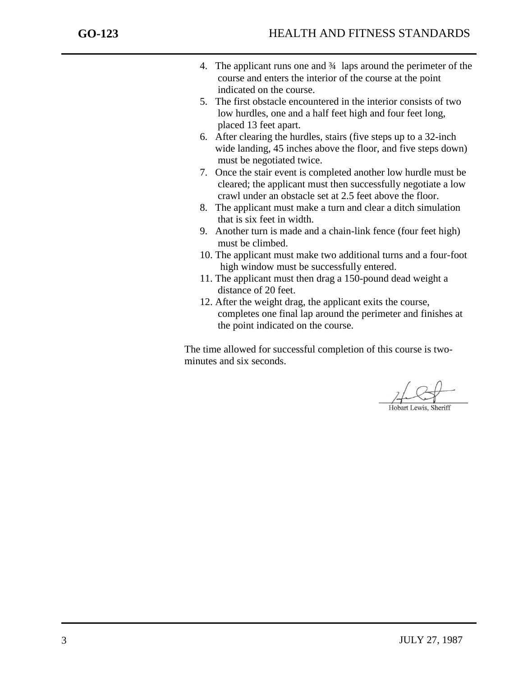- 4. The applicant runs one and ¾ laps around the perimeter of the course and enters the interior of the course at the point indicated on the course.
- 5. The first obstacle encountered in the interior consists of two low hurdles, one and a half feet high and four feet long, placed 13 feet apart.
- 6. After clearing the hurdles, stairs (five steps up to a 32-inch wide landing, 45 inches above the floor, and five steps down) must be negotiated twice.
- 7. Once the stair event is completed another low hurdle must be cleared; the applicant must then successfully negotiate a low crawl under an obstacle set at 2.5 feet above the floor.
- 8. The applicant must make a turn and clear a ditch simulation that is six feet in width.
- 9. Another turn is made and a chain-link fence (four feet high) must be climbed.
- 10. The applicant must make two additional turns and a four-foot high window must be successfully entered.
- 11. The applicant must then drag a 150-pound dead weight a distance of 20 feet.
- 12. After the weight drag, the applicant exits the course, completes one final lap around the perimeter and finishes at the point indicated on the course.

The time allowed for successful completion of this course is two minutes and six seconds.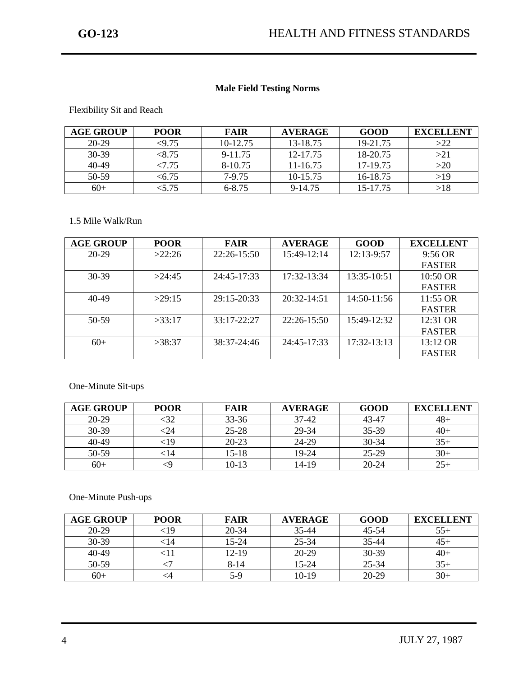#### **Male Field Testing Norms**

Flexibility Sit and Reach

| <b>AGE GROUP</b> | <b>POOR</b> | <b>FAIR</b> | <b>AVERAGE</b> | GOOD     | <b>EXCELLENT</b> |
|------------------|-------------|-------------|----------------|----------|------------------|
| 20-29            | $<$ 9.75    | 10-12.75    | 13-18.75       | 19-21.75 | >22              |
| $30-39$          | < 8.75      | 9-11.75     | 12-17.75       | 18-20.75 | >21              |
| $40 - 49$        | <7.75       | 8-10.75     | 11-16.75       | 17-19.75 | >20              |
| 50-59            | $<\!\!6.75$ | 7-9.75      | 10-15.75       | 16-18.75 | >19              |
| $60+$            | < 5.75      | 6-8.75      | 9-14.75        | 15-17.75 | >18              |

#### 1.5 Mile Walk/Run

| <b>AGE GROUP</b> | <b>POOR</b> | <b>FAIR</b>   | <b>AVERAGE</b>  | <b>GOOD</b>   | <b>EXCELLENT</b> |
|------------------|-------------|---------------|-----------------|---------------|------------------|
| $20-29$          | >22:26      | 22:26-15:50   | 15:49-12:14     | 12:13-9:57    | $9:56$ OR        |
|                  |             |               |                 |               | <b>FASTER</b>    |
| $30-39$          | >24.45      | 24:45-17:33   | $17:32 - 13:34$ | $13:35-10:51$ | 10:50 OR         |
|                  |             |               |                 |               | <b>FASTER</b>    |
| 40-49            | >29:15      | 29:15-20:33   | 20:32-14:51     | $14:50-11:56$ | $11:55$ OR       |
|                  |             |               |                 |               | <b>FASTER</b>    |
| 50-59            | >33:17      | $33:17-22:27$ | 22:26-15:50     | $15:49-12:32$ | $12:31$ OR       |
|                  |             |               |                 |               | <b>FASTER</b>    |
| $60+$            | >38:37      | $38:37-24:46$ | 24:45-17:33     | $17:32-13:13$ | 13:12 OR         |
|                  |             |               |                 |               | <b>FASTER</b>    |

#### One-Minute Sit-ups

| <b>AGE GROUP</b> | <b>POOR</b> | <b>FAIR</b> | <b>AVERAGE</b> | GOOD      | <b>EXCELLENT</b> |
|------------------|-------------|-------------|----------------|-----------|------------------|
| 20-29            | :32         | 33-36       | $37-42$        | 43-47     | $48+$            |
| 30-39            | -24         | $25 - 28$   | 29-34          | 35-39     | $40+$            |
| 40-49            | <19         | 20-23       | 24-29          | $30-34$   | $35+$            |
| 50-59            | 14>         | $15 - 18$   | 19-24          | 25-29     | $30+$            |
| $60+$            |             | $10-13$     | 14-19          | $20 - 24$ | $25+$            |

One-Minute Push-ups

| <b>AGE GROUP</b> | <b>POOR</b> | <b>FAIR</b> | <b>AVERAGE</b> | <b>GOOD</b> | <b>EXCELLENT</b> |
|------------------|-------------|-------------|----------------|-------------|------------------|
| $20-29$          | $<$ 19      | $20 - 34$   | 35-44          | 45-54       | $55+$            |
| 30-39            | 14:         | $15 - 24$   | 25-34          | 35-44       | $45+$            |
| 40-49            |             | $12 - 19$   | 20-29          | $30-39$     | $40+$            |
| 50-59            |             | $8 - 14$    | $15 - 24$      | 25-34       | $35+$            |
| $60+$            |             | $5-9$       | $10-19$        | 20-29       | $30+$            |